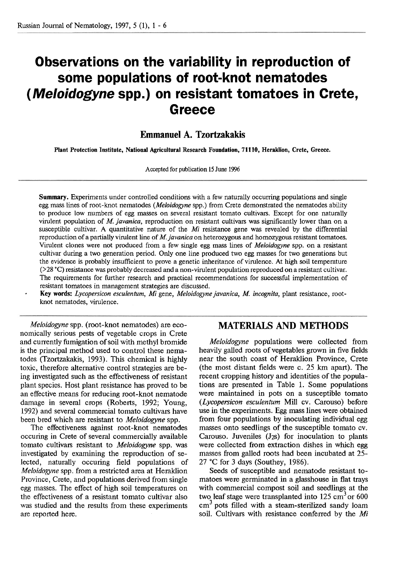# **Observations on the variability in reproduction of some populations of root-knot nematodes (Meloidogyne spp.) on resistant tomatoes in Crete, Greece**

## **Emmanuel A. Tzortzakakis**

**Plant Protection Institute, National Agricultural Research Foundation, 71110, Heraklion, Crete, Greece.** 

Accepted for publication 15 June 1996

**Summary.** Experiments under controlled conditions with a few naturally occurring populations and single egg mass lines of root-knot nematodes (*Meloidogyne* spp.) from Crete demonstrated the nematodes ability to produce low numbers of egg masses on several resistant tomato cultivars. Except for one naturally virulent population of M. javanica, reproduction on resistant cultivars was significantly lower than on a susceptible cultivar. **A** quantitative nature of the Mi resistance gene was revealed by the differential reproduction of a partially virulent line of M. javanica on heterozygous and homozygous resistant tomatoes. Virulent clones were not produced from a few single egg mass lines of Meloidogyne spp. on a resistant cultivar during a two generation period. Only one line produced two egg masses for two generations but the evidence is probably insufficient to prove a genetic inheritance of virulence. At high soil temperature (>28 'C) resistance was probably decreased and a non-virulent population reproduced on a resistant cultivar. The requirements for further research and practical recommendations for successful implementation of resistant tomatoes in management strategies are discussed.

- **Key words:** Lycopersicon esculentum, Mi gene, Meloidogyne javanica, M. incognita, plant resistance, rootknot nematodes, virulence.

Meloidogyne spp. (root-knot nematodes) are economically serious pests of vegetable crops in Crete and currently fumigation of soil with methyl bromide is the principal method used to control these nematodes (Tzortzakakis, 1993). This chemical is highly toxic, therefore alternative control strategies are being investigated such as the effectiveness of resistant plant species. Host plant resistance has proved to be an effective means for reducing root-knot nematode damage in several crops (Roberts, 1992; Young, 1992) and several commercial tomato cultivars have been bred which are resistant to *Meloidogyne* spp.

The effectiveness against root-knot nematodes occuring in Crete of several commercially available tomato cultivars resistant to Meloidogyne spp. was investigated by examining the reproduction of selected, naturally occuring field populations of Meloidogyne spp. from a restricted area at Heraklion Province, Crete, and populations derived from single egg masses. The effect of high soil temperatures on the effectiveness of a resistant tomato cultivar also was studied and the results from these experiments are reported here.

#### **MATERIALS AND METHODS**

Meloidogyne populations were collected from heavily galled roots of vegetables grown in five fields near the south coast of Heraklion Province, Crete (the most distant fields were c. 25 **krn** apart). The recent cropping history and identities of the populations are presented in Table 1. Some populations were maintained in pots on a susceptible tomato (Lycopersicon esculentum Mill cv. Carouso) before use in the experiments. **Egg** mass lines were obtained from four populations by inoculating individual egg masses onto seedlings of the susceptible tomato cv. Carouso. Juveniles  $(J_{2S})$  for inoculation to plants were collected from extraction dishes in which egg masses from galled roots had been incubated at 25- 27 "C for **3** days (Southey, 1986).

Seeds of susceptible and nematode resistant tomatoes were germinated in a glasshouse in flat trays with commercial compost soil and seedlings at the two leaf stage were transplanted into  $125 \text{ cm}^3$  or  $600$  $cm<sup>3</sup>$  pots filled with a steam-sterilized sandy loam soil. Cultivars with resistance conferred by the Mi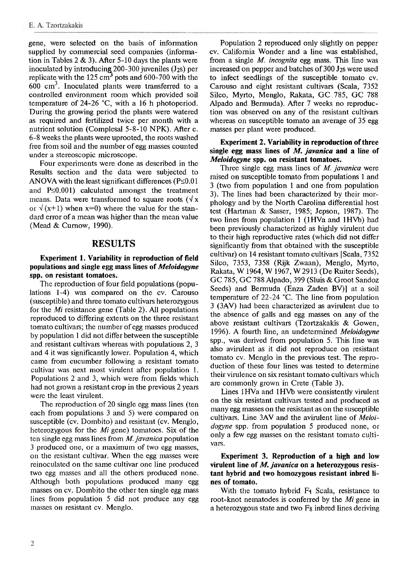gene, were selected on the basis of infomation supplied by commercial seed companies (infomation in Tables  $2 \& 3$ ). After 5-10 days the plants were inoculated by introducing 200-300 juveniles (J<sub>2S</sub>) per replicate with the 125 cm<sup>3</sup> pots and 600-700 with the  $600 \text{ cm}^3$ . Inoculated plants were transferred to a controlled environment room which provided soil temperature of 24-26 "C, with a 16 h photoperiod. During the growing period the plants were watered as required and fertilized twice per month with a nutrient solution (Complesal 5-8- 10 NPK). After c. 6-8 weeks the plants were uprooted, the roots washed free from soil and the number of egg masses counted under a stereoscopic microscope.

Four experiments were done as described in the Results section and the data were subjected to ANOVA with the least significant differences ( $P\leq0.01$ ) and  $P\leq 0.001$ ) calculated amongst the treatment means. Data were transformed to square roots  $(\sqrt{x})$ or  $\sqrt{(x+1)}$  when  $x=0$ ) where the value for the standard error of a mean was higher than the mean value (Mead & Curnow, 1990).

## **RESULTS**

#### **Experiment 1. Variability in reproduction of field populations and single egg mass lines of** *Meloidogvne*  **spp. on resistant tomatoes.**

The reproduction of four field populations (populations 1-4) was compared on the cv. Carouso (susceptible) and three tomato cultivass heterozygous for the *Mi* resistance gene (Table 2). All populations reproduced to differing extents on the three resistant tomato cultivars; the number of egg masses produced by population 1 did not differ between the susceptible and resistant cultivars whereas with populations 2, 3 and 4 it was significantly lower. Population 4, which came from cucumber following a resistant tomato cultivar was next most virulent after population 1. Populations 2 and 3, which were from fields which had not grown a resistant crop in the previous 2 years were the least virulent.

The reproduction of 20 single egg mass lines (ten each from populations  $3$  and  $5$ ) were compared on susceptible (cv. Dornbito) and resistant (cv. Menglo, heterozygous for the *Mi* gene) tomatoes. Six of the ten single egg mass lines from *M. javanica* population 3 produced one, or a maximum of two egg masses, on the resistant cultivar. When the egg masses were reinoculated on the same cultivar one line produced two egg masses and all the others produced none. Although both populations produced many egg masses on cv. Dombito the other ten single egg mass lines from population  $5$  did not produce any egg masses on resistant cv. Menglo.

Population 2 reproduced only slightly on pepper cv. California Wonder and a line was established. from a single M. *incognita* egg mass. This line was increased on pepper and batches of 300 J<sub>2s</sub> were used to infect seedlings of the susceptible tomato cv. Carouso and eight resistant cultivars (Scala, 7352 Silco, Myrto, Menglo, Rakata, GC ,785, GC 788 Alpado and Bermuda). After 7 weeks no reproduction was observed on any of the resistant cultivars whereas on susceptible tomato an average of 35 egg masses per plant were produced.

#### **Experiment 2. Variability in reproduction of three single egg mass lines of M.** *javanica* **and** *a* **line of**  *Meloidogyne* **spp. on resistant tomatoes.**

Three single egg mass lines of *M. javanica* were raised on susceptible tomato from populations 1 and 3 (two from population 1 and one from population 3). The lines had been characterized by their morphology and by the North Carolina differential host test (Haitman & Sasser, 1985; Jepson, 1987). The two lines from population 1 (1HVa and 1HVb) had been previously characterized as highly virulent due to their high reproductive rates (which did not differ significantly from that obtained with the susceptible cultivar) on 14 resistant tomato cultivars [Scala, 7352 Silco, 7353, 7358 (Rijk Zwaan), Menglo, Myrto, Rakata, W 1964, W 1967, W 2913 (De Ruiter Seeds), GC 785, GC 788 Alpado, 399 (Sluis & Groot Sandoz Seeds) and Bermuda (Enza Zaden BV)] at a soil temperature of 22-24 "C. The line from population 3 (3AV) had been characterized as avirulent due to the absence of galls and egg masses on any of the above resistant cultivars (Tzortzakakis & Gowen, 1996). A fourth line, an undetermined *Meloidogyne*  spp., was derived from population 5. This line was also avirulent as it did not reproduce on resistant tomato cv. Menglo in the previous test. The reproduction of these four lines was tested to determine their virulence on six resistant tomato cultivars which are commonly grown in Crete (Table 3).

Lines 1 HVa and 1HVb were consistently virulent on the six resistant cultivars tested and produced as many egg masses on the resistant as on the susceptible cultivars. Line 3AV and the avirulent line of *Meloidogyne* spp. from population 5 produced none, or only a few egg masses on the resistant tomato cultivars.

#### **Experiment 3. Reproduction of a high and low virulent line of M.** *javanica* **on a heterozygous resistant hybrid and two homozygous resistant inbred lines of tomato.**

With the tomato hybrid  $F_1$  Scala, resistance to root-knot nematodes is conferred by the *Mi* gene in a heterozygous state and two **Fg** inbred lines deriving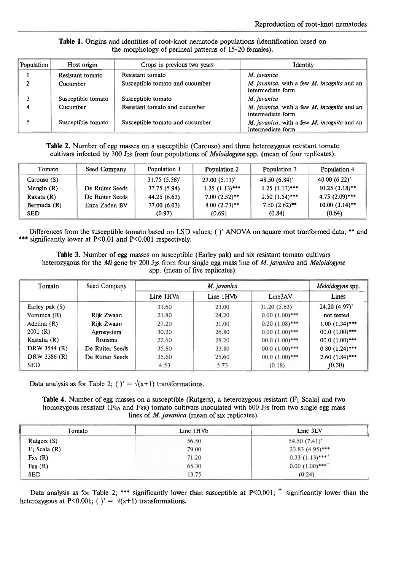|  |  |  |                                                        |  | Table 1. Origins and identities of root-knot nematode populations (identification based on |  |
|--|--|--|--------------------------------------------------------|--|--------------------------------------------------------------------------------------------|--|
|  |  |  | the morphology of perineal patterns of 15-20 females). |  |                                                                                            |  |

| Population | Host origin        | Crops in previous two years     | Identity                                                             |  |
|------------|--------------------|---------------------------------|----------------------------------------------------------------------|--|
|            | Resistant tomato   | Resistant tomato                | M. javanica                                                          |  |
| 2          | Cucumber           | Susceptible tomato and cucumber | $M.$ javanica, with a few $M.$ incognita and an<br>intermediate form |  |
| 3          | Susceptible tomato | Susceptible tomato              | M. javanica                                                          |  |
|            | Cucumber           | Resistant tomato and cucumber   | M. javanica, with a few M. incognita and an<br>intermediate form     |  |
|            | Susceptible tomato | Susceptible tomato and cucumber | M. javanica, with a few M. incognita and an<br>intermediate form     |  |

**Table 2.** Number of egg masses on a susceptible (Carouso) and three heterozygous resistant tomato cultivars infected by 300 J2s from four populations of *Meloidogyne* spp. (mean of four replicates).

| Tomato        | Seed Company    | Population 1 | Population 2    | Population 3     | Population 4     |
|---------------|-----------------|--------------|-----------------|------------------|------------------|
| Carouso (S)   |                 | 31.75(5.56)  | 27.00(5.11)'    | 48.50(6.84)      | 40.00(6.22)'     |
| Menglo $(R)$  | De Ruiter Seeds | 37.75 (5.94) | $1.25(1.13***)$ | $1.25(1.13)***$  | $10.25(3.18)$ ** |
| Rakata (R)    | De Ruiter Seeds | 44.25 (6.63) | $7.00(2.52)$ ** | $2.50(1.54)$ *** | $4.75(2.09)***$  |
| Bermuda $(R)$ | Enza Zaden BV   | 37.00(6.03)  | $8.00(2.73)$ ** | $7.50(2.62)$ **  | $10.00(3.14)$ ** |
| <b>SED</b>    |                 | (0.97)       | (0.69)          | (0.84)           | (0.64)           |

Differences from the susceptible tomato based on LSD values; ( )' **ANOVA** on square root tranformed data; \*\* and \*\*\* significantly lower at  $P\leq 0.01$  and  $P\leq 0.001$  respectively.

**Table 3.** Number of egg masses on susceptible (Earley pak) and six resistant tomato cultivars heterozygous for the *Mi* gene by 200 J<sub>2</sub>s from four single egg mass line of *M. javanica* and *Meloidogyne* spp. (mean of five replicates).

| Tomato<br>Seed Company |                 |           | Meloidogyne spp. |                  |                  |
|------------------------|-----------------|-----------|------------------|------------------|------------------|
|                        |                 | Line 1HVa | Line 1HVb        | Line3AV          | Lines            |
| Earley pak $(S)$       |                 | 31.60     | 23.00            | 31.20(5.63)'     | 24.20 (4.97)'    |
| Veronica (R)           | Rijk Zwaan      | 21.80     | 24.20            | $0.00(1.00)$ *** | not tested       |
| Adelina $(R)$          | Rijk Zwaan      | 27.20     | 31.00            | $0.20(1.08)$ *** | $1.00(1.34)$ *** |
| 2001(R)                | Agrosystem      | 30.20     | 26.80            | $0.00(1.00)$ *** | $00.0(1.00)$ *** |
| Kastalia (R)           | <b>Bruisma</b>  | 22.60     | 28.20            | $00.0(1.00)$ *** | $00.0(1.00)$ *** |
| DRW 3544 (R)           | De Ruiter Seeds | 35.80     | 33.80            | $00.0(1.00)$ *** | $0.80(1.24)$ *** |
| DRW 3386 (R)           | De Ruiter Seeds | 35.60     | 25.60            | $00.0(1.00)$ *** | $2.60(1.84)***$  |
| <b>SED</b>             |                 | 4.53      | 5.73             | (0.18)           | (0.30)           |

Data analysis as for Table 2; ( )' =  $\sqrt{(x+1)}$  transformations.

**Table 4.** Number of egg masses on a susceptible (Rutgers), a heterozygous resistant **(F1** Scala) and two homozygous resistant (F $_{8A}$  and F $_{8B}$ ) tomato cultivars inoculated with 600 J<sub>2</sub>s from two single egg mass lines of *M. javanica* (mean of six replicates).

| Tomato            | Line 1HVb | Line 3LV                         |
|-------------------|-----------|----------------------------------|
| Rutgers (S)       | 56.50     | 54.50 (7.41)'                    |
| $F_1$ Scala $(R)$ | 79.00     | $23.83(4.95)$ ***                |
| $F8A$ (R)         | 71.20     | $0.33$ $(1.13)$ *** <sup>+</sup> |
| $F_{8B}$ (R)      | 65.30     | $0.00(1.00)$ *** <sup>+</sup>    |
| <b>SED</b>        | 13.75     | (0.24)                           |

Data analysis as for Table 2; \*\*\* significantly lower than susceptible at P<0.001;  $^+$  significantly lower than the heterozygous at P<0.001; ( )' =  $\sqrt{(x+1)}$  transformations.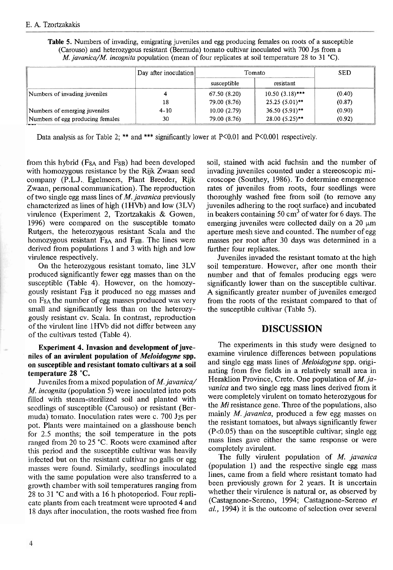**Table** 5. Numbers of invading, emigrating juveniles and egg producing females on roots of a susceptible (Carouso) and heterozygous resistant (Bermuda) tomato cultivar inoculated with  $700 \text{ J}_2$ s from a M. *javanica/M. incognita* population (mean of four replicates at soil temperature 28 to 31 **'C).** 

|                                  | Day after inoculation | Tomato       |                   | <b>SED</b> |
|----------------------------------|-----------------------|--------------|-------------------|------------|
|                                  |                       | susceptible  | resistant         |            |
| Numbers of invading juveniles    |                       | 67.50(8.20)  | $10.50(3.18)$ *** | (0.40)     |
|                                  | 18                    | 79.00 (8.76) | $25.25(5.01)$ **  | (0.87)     |
| Numbers of emerging juveniles    | $4 - 10$              | 10.00(2.79)  | $36.50(5.91)$ **  | (0.90)     |
| Numbers of egg producing females | 30                    | 79.00 (8.76) | $28.00(5.25)$ **  | (0.92)     |

Data analysis as for Table 2; \*\* and \*\*\* significantly lower at  $P<0.01$  and  $P<0.001$  respectively.

from this hybrid ( $F_{8A}$  and  $F_{8B}$ ) had been developed with homozygous resistance by the Rijk Zwaan seed company (P.L.J. Egelmeers, Plant Breeder, Rijk Zwaan, personal communication). The reproduction of two single egg mass lines of  $M$ . javanica previously characterized as lines of high (1HVb) and low (3LV) virulence (Experiment 2, Tzortzakakis & Gowen, 1996) were compared on the susceptible tomato Rutgers, the heterozygous resistant Scala and the homozygous resistant  $F_{8A}$  and  $F_{8B}$ . The lines were derived from populations 1 and 3 with high and low virulence respectively.

On the heterozygous resistant tomato, line 3LV produced significantly fewer egg masses than on the susceptible (Table 4). However, on the homozygously resistant F<sub>8B</sub> it produced no egg masses and on  $F_{8A}$  the number of egg masses produced was very small and significantly less than on the heterozygously resistant cv. Scala. In contrast, reproduction of the virulent line lHVb did not differ between any of the cultivars tested (Table 4).

#### **Experiment 4. Invasion and development of juveniles of an avirulent population of Meloidogyne spp. on susceptible and resistant tomato cultivars at a soil temperature 28 "C.**

Juveniles from a mixed population of M. javanica/ M. incognita (population 5) were inoculated into pots filled with steam-sterilized soil and planted with seedlings of susceptible (Carouso) or resistant (Bermuda) tomato. Inoculation rates were c. 700 J2s per pot. Plants were maintained on a glasshouse bench for 2.5 months; the soil temperature in the pots ranged from 20 to 25 'C. Roots were examined after this period and the susceptible cultivar was heavily infected but on the resistant cultivar no galls or egg masses were found. Similarly, seedlings inoculated with the same population were also transferred to a growth chamber with soil temperatures ranging from 28 to 31 °C and with a 16 h photoperiod. Four replicate plants from each treatment were uprooted 4 and 18 days after inoculation, the roots washed free from soil, stained with acid fuchsin and the number of invading juveniles counted under a stereoscopic microscope (Southey, 1986). To determine emergence rates of juveniles from roots, four seedlings were thoroughly washed free from soil (to remove any juveniles adhering to the root surface) and incubated in beakers containing  $50 \text{ cm}^3$  of water for 6 days. The emerging juveniles were collected daily on a  $20 \mu m$ aperture mesh sieve and counted. The number of egg masses per root after 30 days was determined in a further four replicates.

Juveniles invaded the resistant tomato at the high soil temperature. However, after one month their number and that of females producing eggs were significantly lower than on the susceptible cultivar. A significantly greater number of juveniles emerged from the roots of the resistant compared to that of the susceptible cultivar (Table 5).

# **DISCUSSION**

The experiments in this study were designed to examine virulence differences between populations and single egg mass lines of Meloidogyne spp. originating from five fields in a relatively small area in Heraklion Province, Crete. One population of  $M$ . javanica and two single egg mass lines derived from it were completely virulent on tomato heterozygous for the Mi resistance gene. Three of the populations, also mainly M. javanica, produced a few egg masses on the resistant tomatoes, but always significantly fewer (P<0.05) than on the susceptible cultivar; single egg mass lines gave either the same response or were completely avirulent.

The fully virulent population of M. javanica (population 1) and the respective single egg mass lines, came from a field where resistant tomato had been previously grown for 2 years. It is uncertain whether their virulence is natural or, as observed by (Castagnone-Sereno, 1994; Castagnone-Sereno *et*  al., 1994) it is the outcome of selection over several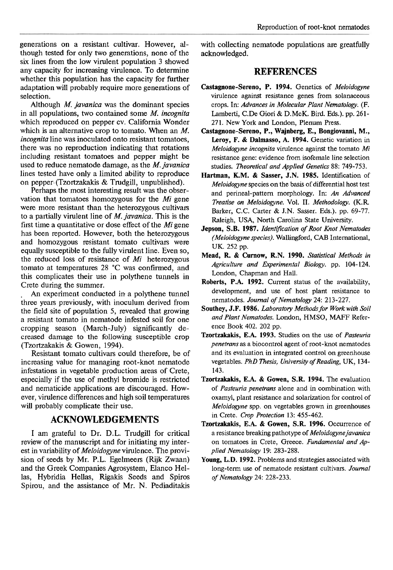generations on a resistant cultivar. However, although tested for only two generations, none of the six lines from the low virulent population 3 showed any capacity for increasing virulence. To determine whether this population has the capacity for further adaptation will probably require more generations of selection.

Although *M. javanica* was the dominant species in all populations, two contained some *M. incognita*  which reproduced on pepper cv. California Wonder which is an alternative crop to tomato. When an *M. incognita* line was inoculated onto resistant tomatoes, there was no reproduction indicating that rotations including resistant tomatoes and pepper might be used to reduce nematode damage, as the *M. javanica*  lines tested have only a limited ability to reproduce on pepper.(Tzortzakakis & TrudgiU, unpublished).

Perhaps the most interesting result was the observation that tomatoes homozygous for the *Mi* gene were more resistant than the heterozygous cultivars to a partially virulent line of *M. javanica.* This is the first time a quantitative or dose effect of the *Mi* gene has been reported. However, both the heterozygous and homozygous resistant tomato cultivars were equally susceptible to the fully virulent line. Even so, the reduced loss of resistance of *Mi* heterozygous tomato at temperatures 28 "C was confirmed, and this complicates their use in polythene tunnels in Crete during the summer.

. An experiment conducted in a polythene tunnel three years previously, with inoculum derived from the field site of population 5, revealed that growing a resistant tomato in nematode infested soil for one cropping season (March-July) significantly decreased damage to the following susceptible crop (Tzortzakakis & Gowen, 1994).

Resistant tomato cultivars could therefore, be of increasing value for managing root-knot nematode infestations in vegetable production areas of Crete, especially if the use of methyl bromide is restricted and nematicide applications are discouraged. However, virulence differences and high soil temperatures will probably complicate their use.

## **ACKNOWLEDGEMENTS**

I am grateful to Dr. D.L. Trudgill for critical review of the manuscript and for initiating my interest in variability of *Meloidogyne* virulence. The provision of seeds by Mr. P.L. Egelmeers (Rijk Zwaan) and the Greek Companies Agrosystem, Elanco Hellas, Hybridia Hellas, Rigakis Seeds and Spiros Spirou, and the assistance of Mr. N. Pediaditakis with collecting nematode populations are greatfully acknowledged.

# **REFERENCES**

- **Castagnone-Sereno, P. 1994.** Genetics of *Meloidogyne*  virulence against resistance genes from solanaceous crops. In: *Advances in Molecular Plant Nematology. (F.*  Lamberti, C.De Giori & D.McK. Bird. Eds.). pp. 261- 271. New York and London, Plenum Press.
- **Castagnone-Sereno, P., Wajnberg, E., Bongiovanni, M., Leroy, F.** & **Dalmasso, A. 1994.** Genetic variation in *Meloidogyne incognita* virulence against the tomato Mi resistance gene: evidence from isofemale line selection studies. *Theoretical and Applied Genetics* 88: 749-753.
- **Hartman, K.M.** & **Sasser, J.N. 1985.** Identification of *Meloidogyne* species on the basis of differential host test and perineal-pattern morphology. In: *An Advanced Treatise on Meloidogyne.* Vol. 11. *Methodology.* (K.R Barker, C.C. Carter & J.N. Sasser. Eds.). pp. 69-77. Raleigh, USA, North Carolina State University.
- **Jepson, S.B. 1987.** *Identification of Root Knot Nematodes (Meloidogyne species).* Wallingford, CAB International, UK. 252 pp.
- **Mead, R.** & **Curnow, R.N. 1990.** *Statistical Methods iri Agriculture and Experimental Biology.* pp. 104-124. London, Chapman and Hall.
- **Roberts, P.A. 1992.** Current status of the availability, development, and use of host plant resistance to nematodes. *Journal of Nematology* 24: 213-227.
- **Southey, J.F. 1986.** *Laboratoty Methods for Workwith Soil and Plant Nematodes.* London, HMSO, **MAFF** Reference Book 402. 202 pp.
- **Tzortzakakis, E.A. 1993.** Studies on the use of *Pasteuria penetrans* as a biocontrol agent of root-knot nematodes and its evaluation in integrated control on greenhouse vegetables. *PhD Thesis, University of Reading,* UK, 134- 143.
- **Tzortzakakis, E.A.** & **Gowen, S.R. 1994.** The evaluation of *Pasteuria penetrans* alone and in combination with oxamyl, plant resistance and solarization for control of *Meloidogyne* spp. on vegetables grown in greenhouses in Crete. *Crop Protection* 13: 455-462.
- **Tzortzakakis, E.A.** & **Gowen, S.R. 1996.** Occurrence of a resistance breaking pathotype of *Meloidogynejavanica*  on tomatoes in Crete, Greece. *Fundamental and Applied Nematology 19:* 283-288.
- **Young, L.D. 1992.** Problems and strategies associated with long-term use of nematode resistant cultivars. *Journal of Nematology* 24: 228-233.